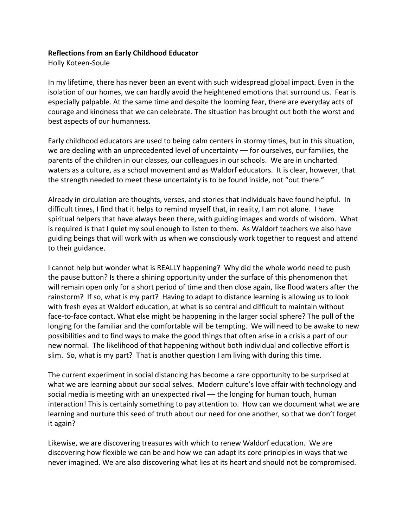## **Reflections from an Early Childhood Educator**

Holly Koteen-Soule

In my lifetime, there has never been an event with such widespread global impact. Even in the isolation of our homes, we can hardly avoid the heightened emotions that surround us. Fear is especially palpable. At the same time and despite the looming fear, there are everyday acts of courage and kindness that we can celebrate. The situation has brought out both the worst and best aspects of our humanness.

Early childhood educators are used to being calm centers in stormy times, but in this situation, we are dealing with an unprecedented level of uncertainty –– for ourselves, our families, the parents of the children in our classes, our colleagues in our schools. We are in uncharted waters as a culture, as a school movement and as Waldorf educators. It is clear, however, that the strength needed to meet these uncertainty is to be found inside, not "out there."

Already in circulation are thoughts, verses, and stories that individuals have found helpful. In difficult times, I find that it helps to remind myself that, in reality, I am not alone. I have spiritual helpers that have always been there, with guiding images and words of wisdom. What is required is that I quiet my soul enough to listen to them. As Waldorf teachers we also have guiding beings that will work with us when we consciously work together to request and attend to their guidance.

I cannot help but wonder what is REALLY happening? Why did the whole world need to push the pause button? Is there a shining opportunity under the surface of this phenomenon that will remain open only for a short period of time and then close again, like flood waters after the rainstorm? If so, what is my part? Having to adapt to distance learning is allowing us to look with fresh eyes at Waldorf education, at what is so central and difficult to maintain without face-to-face contact. What else might be happening in the larger social sphere? The pull of the longing for the familiar and the comfortable will be tempting. We will need to be awake to new possibilities and to find ways to make the good things that often arise in a crisis a part of our new normal. The likelihood of that happening without both individual and collective effort is slim. So, what is my part? That is another question I am living with during this time.

The current experiment in social distancing has become a rare opportunity to be surprised at what we are learning about our social selves. Modern culture's love affair with technology and social media is meeting with an unexpected rival — the longing for human touch, human interaction! This is certainly something to pay attention to. How can we document what we are learning and nurture this seed of truth about our need for one another, so that we don't forget it again?

Likewise, we are discovering treasures with which to renew Waldorf education. We are discovering how flexible we can be and how we can adapt its core principles in ways that we never imagined. We are also discovering what lies at its heart and should not be compromised.